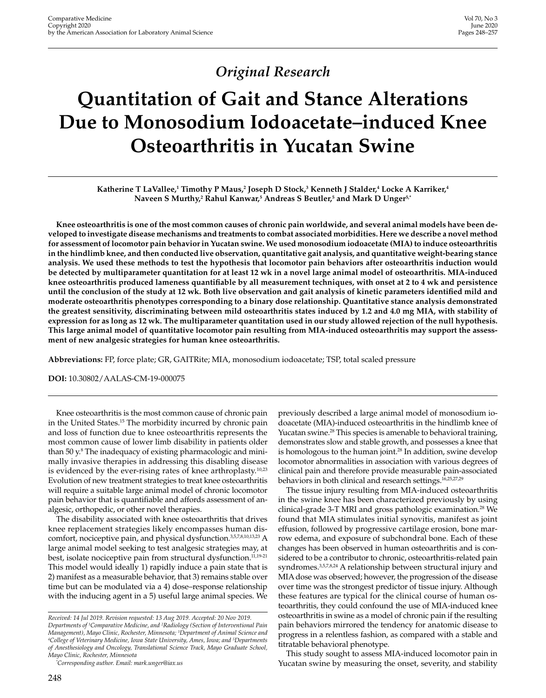# *Original Research*

# **Quantitation of Gait and Stance Alterations Due to Monosodium Iodoacetate–induced Knee Osteoarthritis in Yucatan Swine**

 ${\bf K}$ atherine T LaVallee, $^1$  Timothy P Maus, $^2$  Joseph D Stock, $^3$  Kenneth J Stalder, $^4$  Locke A Karriker, $^4$ **Naveen S Murthy,2 Rahul Kanwar,5 Andreas S Beutler,5 and Mark D Unger5,\***

**Knee osteoarthritis is one of the most common causes of chronic pain worldwide, and several animal models have been developed to investigate disease mechanisms and treatments to combat associated morbidities. Here we describe a novel method for assessment of locomotor pain behavior in Yucatan swine. We used monosodium iodoacetate (MIA) to induce osteoarthritis in the hindlimb knee, and then conducted live observation, quantitative gait analysis, and quantitative weight-bearing stance analysis. We used these methods to test the hypothesis that locomotor pain behaviors after osteoarthritis induction would be detected by multiparameter quantitation for at least 12 wk in a novel large animal model of osteoarthritis. MIA-induced knee osteoarthritis produced lameness quantifiable by all measurement techniques, with onset at 2 to 4 wk and persistence until the conclusion of the study at 12 wk. Both live observation and gait analysis of kinetic parameters identified mild and moderate osteoarthritis phenotypes corresponding to a binary dose relationship. Quantitative stance analysis demonstrated the greatest sensitivity, discriminating between mild osteoarthritis states induced by 1.2 and 4.0 mg MIA, with stability of expression for as long as 12 wk. The multiparameter quantitation used in our study allowed rejection of the null hypothesis. This large animal model of quantitative locomotor pain resulting from MIA-induced osteoarthritis may support the assessment of new analgesic strategies for human knee osteoarthritis.**

**Abbreviations:** FP, force plate; GR, GAITRite; MIA, monosodium iodoacetate; TSP, total scaled pressure

**DOI:** 10.30802/AALAS-CM-19-000075

Knee osteoarthritis is the most common cause of chronic pain in the United States.<sup>15</sup> The morbidity incurred by chronic pain and loss of function due to knee osteoarthritis represents the most common cause of lower limb disability in patients older than 50 y.<sup>8</sup> The inadequacy of existing pharmacologic and minimally invasive therapies in addressing this disabling disease is evidenced by the ever-rising rates of knee arthroplasty.<sup>10,23</sup> Evolution of new treatment strategies to treat knee osteoarthritis will require a suitable large animal model of chronic locomotor pain behavior that is quantifiable and affords assessment of analgesic, orthopedic, or other novel therapies.

The disability associated with knee osteoarthritis that drives knee replacement strategies likely encompasses human discomfort, nociceptive pain, and physical dysfunction.<sup>3,5,7,8,10,13,23</sup> A large animal model seeking to test analgesic strategies may, at best, isolate nociceptive pain from structural dysfunction.<sup>11,19-21</sup> This model would ideally 1) rapidly induce a pain state that is 2) manifest as a measurable behavior, that 3) remains stable over time but can be modulated via a 4) dose–response relationship with the inducing agent in a 5) useful large animal species. We previously described a large animal model of monosodium iodoacetate (MIA)-induced osteoarthritis in the hindlimb knee of Yucatan swine.<sup>28</sup> This species is amenable to behavioral training, demonstrates slow and stable growth, and possesses a knee that is homologous to the human joint.<sup>28</sup> In addition, swine develop locomotor abnormalities in association with various degrees of clinical pain and therefore provide measurable pain-associated behaviors in both clinical and research settings.<sup>16,25,27,29</sup>

The tissue injury resulting from MIA-induced osteoarthritis in the swine knee has been characterized previously by using clinical-grade 3-T MRI and gross pathologic examination.<sup>28</sup> We found that MIA stimulates initial synovitis, manifest as joint effusion, followed by progressive cartilage erosion, bone marrow edema, and exposure of subchondral bone. Each of these changes has been observed in human osteoarthritis and is considered to be a contributor to chronic, osteoarthritis-related pain syndromes.<sup>3,5,7,8,24</sup> A relationship between structural injury and MIA dose was observed; however, the progression of the disease over time was the strongest predictor of tissue injury. Although these features are typical for the clinical course of human osteoarthritis, they could confound the use of MIA-induced knee osteoarthritis in swine as a model of chronic pain if the resulting pain behaviors mirrored the tendency for anatomic disease to progress in a relentless fashion, as compared with a stable and titratable behavioral phenotype.

This study sought to assess MIA-induced locomotor pain in Yucatan swine by measuring the onset, severity, and stability

*Received: 14 Jul 2019. Revision requested: 13 Aug 2019. Accepted: 20 Nov 2019. Departments of 1 Comparative Medicine, and 2 Radiology (Section of Interventional Pain Management), Mayo Clinic, Rochester, Minnesota; 3 Department of Animal Science and 4 College of Veterinary Medicine, Iowa State University, Ames, Iowa; and 5 Departments of Anesthesiology and Oncology, Translational Science Track, Mayo Graduate School, Mayo Clinic, Rochester, Minnesota*

*<sup>\*</sup> Corresponding author. Email: mark.unger@iax.us*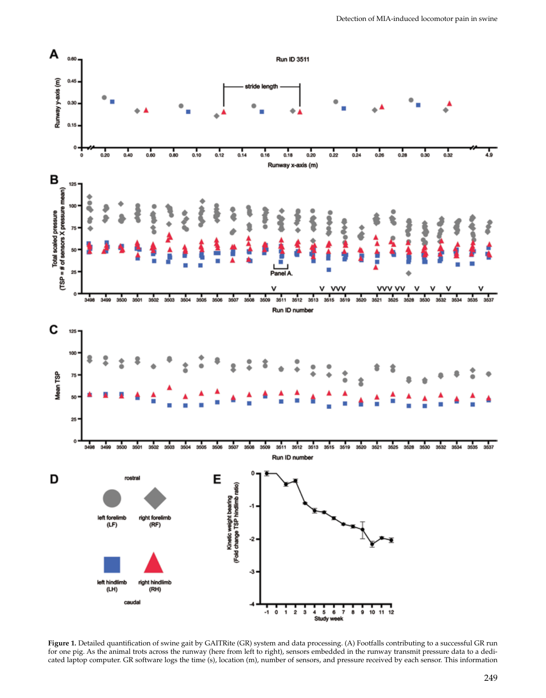

**Figure 1.** Detailed quantification of swine gait by GAITRite (GR) system and data processing. (A) Footfalls contributing to a successful GR run for one pig. As the animal trots across the runway (here from left to right), sensors embedded in the runway transmit pressure data to a dedicated laptop computer. GR software logs the time (s), location (m), number of sensors, and pressure received by each sensor. This information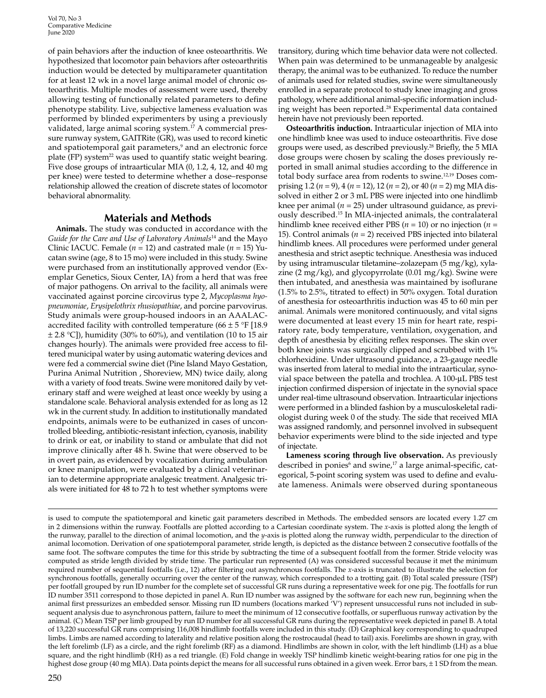Vol 70, No 3 Comparative Medicine June 2020

of pain behaviors after the induction of knee osteoarthritis. We hypothesized that locomotor pain behaviors after osteoarthritis induction would be detected by multiparameter quantitation for at least 12 wk in a novel large animal model of chronic osteoarthritis. Multiple modes of assessment were used, thereby allowing testing of functionally related parameters to define phenotype stability. Live, subjective lameness evaluation was performed by blinded experimenters by using a previously validated, large animal scoring system.17 A commercial pressure runway system, GAITRite (GR), was used to record kinetic and spatiotemporal gait parameters,<sup>9</sup> and an electronic force plate (FP) system<sup>22</sup> was used to quantify static weight bearing. Five dose groups of intraarticular MIA (0, 1.2, 4, 12, and 40 mg per knee) were tested to determine whether a dose–response relationship allowed the creation of discrete states of locomotor behavioral abnormality.

# **Materials and Methods**

**Animals.** The study was conducted in accordance with the *Guide for the Care and Use of Laboratory Animals*14 and the Mayo Clinic IACUC. Female (*n* = 12) and castrated male (*n* = 15) Yucatan swine (age, 8 to 15 mo) were included in this study. Swine were purchased from an institutionally approved vendor (Exemplar Genetics, Sioux Center, IA) from a herd that was free of major pathogens. On arrival to the facility, all animals were vaccinated against porcine circovirus type 2, *Mycoplasma hyopneumoniae*, *Erysipelothrix rhusiopathiae*, and porcine parvovirus. Study animals were group-housed indoors in an AAALACaccredited facility with controlled temperature  $(66 \pm 5 \degree F)$  [18.9]  $\pm$  2.8 °C]), humidity (30% to 60%), and ventilation (10 to 15 air changes hourly). The animals were provided free access to filtered municipal water by using automatic watering devices and were fed a commercial swine diet (Pine Island Mayo Gestation, Purina Animal Nutrition , Shoreview, MN) twice daily, along with a variety of food treats. Swine were monitored daily by veterinary staff and were weighed at least once weekly by using a standalone scale. Behavioral analysis extended for as long as 12 wk in the current study. In addition to institutionally mandated endpoints, animals were to be euthanized in cases of uncontrolled bleeding, antibiotic-resistant infection, cyanosis, inability to drink or eat, or inability to stand or ambulate that did not improve clinically after 48 h. Swine that were observed to be in overt pain, as evidenced by vocalization during ambulation or knee manipulation, were evaluated by a clinical veterinarian to determine appropriate analgesic treatment. Analgesic trials were initiated for 48 to 72 h to test whether symptoms were transitory, during which time behavior data were not collected. When pain was determined to be unmanageable by analgesic therapy, the animal was to be euthanized. To reduce the number of animals used for related studies, swine were simultaneously enrolled in a separate protocol to study knee imaging and gross pathology, where additional animal-specific information including weight has been reported.28 Experimental data contained herein have not previously been reported.

**Osteoarthritis induction.** Intraarticular injection of MIA into one hindlimb knee was used to induce osteoarthritis. Five dose groups were used, as described previously.28 Briefly, the 5 MIA dose groups were chosen by scaling the doses previously reported in small animal studies according to the difference in total body surface area from rodents to swine.12,19 Doses comprising 1.2 (*n* = 9), 4 (*n* = 12), 12 (*n* = 2), or 40 (*n* = 2) mg MIA dissolved in either 2 or 3 mL PBS were injected into one hindlimb knee per animal ( $n = 25$ ) under ultrasound guidance, as previously described.15 In MIA-injected animals, the contralateral hindlimb knee received either PBS (*n* = 10) or no injection (*n* = 15). Control animals (*n* = 2) received PBS injected into bilateral hindlimb knees. All procedures were performed under general anesthesia and strict aseptic technique. Anesthesia was induced by using intramuscular tiletamine–zolazepam (5 mg/kg), xylazine (2 mg/kg), and glycopyrrolate (0.01 mg/kg). Swine were then intubated, and anesthesia was maintained by isoflurane (1.5% to 2.5%, titrated to effect) in 50% oxygen. Total duration of anesthesia for osteoarthritis induction was 45 to 60 min per animal. Animals were monitored continuously, and vital signs were documented at least every 15 min for heart rate, respiratory rate, body temperature, ventilation, oxygenation, and depth of anesthesia by eliciting reflex responses. The skin over both knee joints was surgically clipped and scrubbed with 1% chlorhexidine. Under ultrasound guidance, a 23-gauge needle was inserted from lateral to medial into the intraarticular, synovial space between the patella and trochlea. A 100-μL PBS test injection confirmed dispersion of injectate in the synovial space under real-time ultrasound observation. Intraarticular injections were performed in a blinded fashion by a musculoskeletal radiologist during week 0 of the study. The side that received MIA was assigned randomly, and personnel involved in subsequent behavior experiments were blind to the side injected and type of injectate.

**Lameness scoring through live observation.** As previously described in ponies<sup>6</sup> and swine,<sup>17</sup> a large animal-specific, categorical, 5-point scoring system was used to define and evaluate lameness. Animals were observed during spontaneous

is used to compute the spatiotemporal and kinetic gait parameters described in Methods. The embedded sensors are located every 1.27 cm in 2 dimensions within the runway. Footfalls are plotted according to a Cartesian coordinate system. The *x*-axis is plotted along the length of the runway, parallel to the direction of animal locomotion, and the *y*-axis is plotted along the runway width, perpendicular to the direction of animal locomotion. Derivation of one spatiotemporal parameter, stride length, is depicted as the distance between 2 consecutive footfalls of the same foot. The software computes the time for this stride by subtracting the time of a subsequent footfall from the former. Stride velocity was computed as stride length divided by stride time. The particular run represented (A) was considered successful because it met the minimum required number of sequential footfalls (i.e., 12) after filtering out asynchronous footfalls. The *x*-axis is truncated to illustrate the selection for synchronous footfalls, generally occurring over the center of the runway, which corresponded to a trotting gait. (B) Total scaled pressure (TSP) per footfall grouped by run ID number for the complete set of successful GR runs during a representative week for one pig. The footfalls for run ID number 3511 correspond to those depicted in panel A. Run ID number was assigned by the software for each new run, beginning when the animal first pressurizes an embedded sensor. Missing run ID numbers (locations marked 'V') represent unsuccessful runs not included in subsequent analysis due to asynchronous pattern, failure to meet the minimum of 12 consecutive footfalls, or superfluous runway activation by the animal. (C) Mean TSP per limb grouped by run ID number for all successful GR runs during the representative week depicted in panel B. A total of 13,220 successful GR runs comprising 116,008 hindlimb footfalls were included in this study. (D) Graphical key corresponding to quadruped limbs. Limbs are named according to laterality and relative position along the rostrocaudal (head to tail) axis. Forelimbs are shown in gray, with the left forelimb (LF) as a circle, and the right forelimb (RF) as a diamond. Hindlimbs are shown in color, with the left hindlimb (LH) as a blue square, and the right hindlimb (RH) as a red triangle. (E) Fold change in weekly TSP hindlimb kinetic weight-bearing ratios for one pig in the highest dose group (40 mg MIA). Data points depict the means for all successful runs obtained in a given week. Error bars, ± 1 SD from the mean.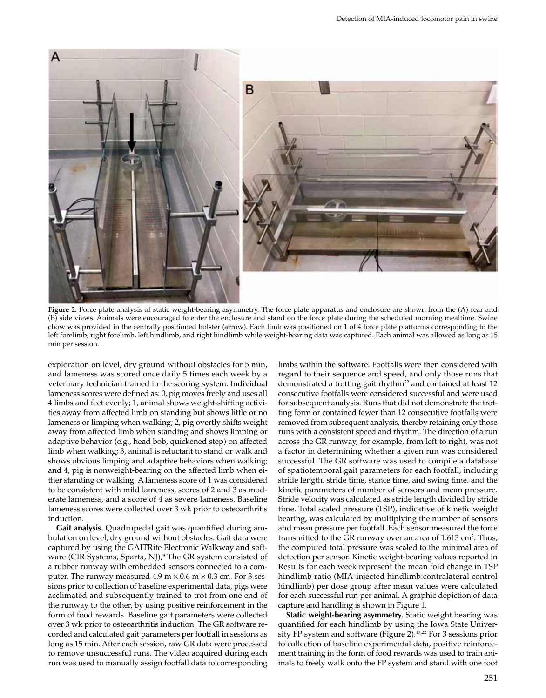

**Figure 2.** Force plate analysis of static weight-bearing asymmetry. The force plate apparatus and enclosure are shown from the (A) rear and (B) side views. Animals were encouraged to enter the enclosure and stand on the force plate during the scheduled morning mealtime. Swine chow was provided in the centrally positioned holster (arrow). Each limb was positioned on 1 of 4 force plate platforms corresponding to the left forelimb, right forelimb, left hindlimb, and right hindlimb while weight-bearing data was captured. Each animal was allowed as long as 15 min per session.

exploration on level, dry ground without obstacles for 5 min, and lameness was scored once daily 5 times each week by a veterinary technician trained in the scoring system. Individual lameness scores were defined as: 0, pig moves freely and uses all 4 limbs and feet evenly; 1, animal shows weight-shifting activities away from affected limb on standing but shows little or no lameness or limping when walking; 2, pig overtly shifts weight away from affected limb when standing and shows limping or adaptive behavior (e.g., head bob, quickened step) on affected limb when walking; 3, animal is reluctant to stand or walk and shows obvious limping and adaptive behaviors when walking; and 4, pig is nonweight-bearing on the affected limb when either standing or walking. A lameness score of 1 was considered to be consistent with mild lameness, scores of 2 and 3 as moderate lameness, and a score of 4 as severe lameness. Baseline lameness scores were collected over 3 wk prior to osteoarthritis induction.

**Gait analysis.** Quadrupedal gait was quantified during ambulation on level, dry ground without obstacles. Gait data were captured by using the GAITRite Electronic Walkway and software (CIR Systems, Sparta, NJ),<sup>9</sup> The GR system consisted of a rubber runway with embedded sensors connected to a computer. The runway measured 4.9 m  $\times$  0.6 m  $\times$  0.3 cm. For 3 sessions prior to collection of baseline experimental data, pigs were acclimated and subsequently trained to trot from one end of the runway to the other, by using positive reinforcement in the form of food rewards. Baseline gait parameters were collected over 3 wk prior to osteoarthritis induction. The GR software recorded and calculated gait parameters per footfall in sessions as long as 15 min. After each session, raw GR data were processed to remove unsuccessful runs. The video acquired during each run was used to manually assign footfall data to corresponding

limbs within the software. Footfalls were then considered with regard to their sequence and speed, and only those runs that demonstrated a trotting gait rhythm<sup>22</sup> and contained at least 12 consecutive footfalls were considered successful and were used for subsequent analysis. Runs that did not demonstrate the trotting form or contained fewer than 12 consecutive footfalls were removed from subsequent analysis, thereby retaining only those runs with a consistent speed and rhythm. The direction of a run across the GR runway, for example, from left to right, was not a factor in determining whether a given run was considered successful. The GR software was used to compile a database of spatiotemporal gait parameters for each footfall, including stride length, stride time, stance time, and swing time, and the kinetic parameters of number of sensors and mean pressure. Stride velocity was calculated as stride length divided by stride time. Total scaled pressure (TSP), indicative of kinetic weight bearing, was calculated by multiplying the number of sensors and mean pressure per footfall. Each sensor measured the force transmitted to the GR runway over an area of 1.613 cm<sup>2</sup>. Thus, the computed total pressure was scaled to the minimal area of detection per sensor. Kinetic weight-bearing values reported in Results for each week represent the mean fold change in TSP hindlimb ratio (MIA-injected hindlimb:contralateral control hindlimb) per dose group after mean values were calculated for each successful run per animal. A graphic depiction of data capture and handling is shown in Figure 1.

**Static weight-bearing asymmetry.** Static weight bearing was quantified for each hindlimb by using the Iowa State University FP system and software (Figure 2).<sup>17,22</sup> For 3 sessions prior to collection of baseline experimental data, positive reinforcement training in the form of food rewards was used to train animals to freely walk onto the FP system and stand with one foot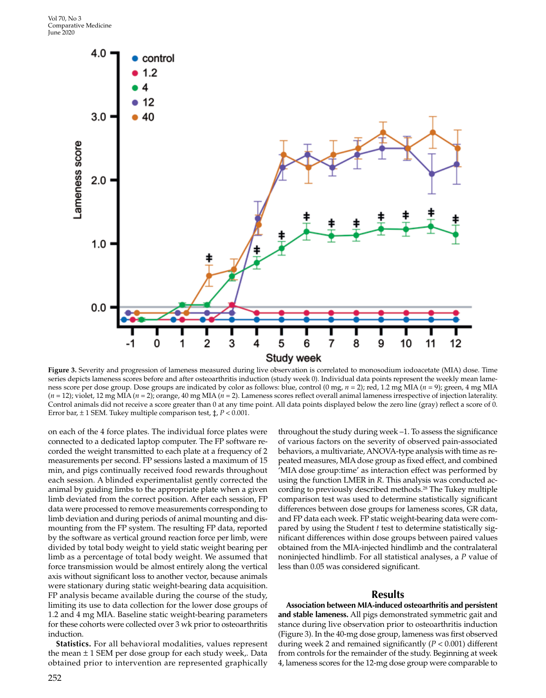

**Figure 3.** Severity and progression of lameness measured during live observation is correlated to monosodium iodoacetate (MIA) dose. Time series depicts lameness scores before and after osteoarthritis induction (study week 0). Individual data points represent the weekly mean lameness score per dose group. Dose groups are indicated by color as follows: blue, control (0 mg, *n* = 2); red, 1.2 mg MIA (*n* = 9); green, 4 mg MIA (*n* = 12); violet, 12 mg MIA (*n* = 2); orange, 40 mg MIA (*n* = 2). Lameness scores reflect overall animal lameness irrespective of injection laterality. Control animals did not receive a score greater than 0 at any time point. All data points displayed below the zero line (gray) reflect a score of 0. Error bar, ± 1 SEM. Tukey multiple comparison test, ‡, *P* < 0.001.

on each of the 4 force plates. The individual force plates were connected to a dedicated laptop computer. The FP software recorded the weight transmitted to each plate at a frequency of 2 measurements per second. FP sessions lasted a maximum of 15 min, and pigs continually received food rewards throughout each session. A blinded experimentalist gently corrected the animal by guiding limbs to the appropriate plate when a given limb deviated from the correct position. After each session, FP data were processed to remove measurements corresponding to limb deviation and during periods of animal mounting and dismounting from the FP system. The resulting FP data, reported by the software as vertical ground reaction force per limb, were divided by total body weight to yield static weight bearing per limb as a percentage of total body weight. We assumed that force transmission would be almost entirely along the vertical axis without significant loss to another vector, because animals were stationary during static weight-bearing data acquisition. FP analysis became available during the course of the study, limiting its use to data collection for the lower dose groups of 1.2 and 4 mg MIA. Baseline static weight-bearing parameters for these cohorts were collected over 3 wk prior to osteoarthritis induction.

**Statistics.** For all behavioral modalities, values represent the mean  $\pm$  1 SEM per dose group for each study week,. Data obtained prior to intervention are represented graphically throughout the study during week –1. To assess the significance of various factors on the severity of observed pain-associated behaviors, a multivariate, ANOVA-type analysis with time as repeated measures, MIA dose group as fixed effect, and combined 'MIA dose group:time' as interaction effect was performed by using the function LMER in *R*. This analysis was conducted according to previously described methods.<sup>28</sup> The Tukey multiple comparison test was used to determine statistically significant differences between dose groups for lameness scores, GR data, and FP data each week. FP static weight-bearing data were compared by using the Student *t* test to determine statistically significant differences within dose groups between paired values obtained from the MIA-injected hindlimb and the contralateral noninjected hindlimb. For all statistical analyses, a *P* value of less than 0.05 was considered significant.

#### **Results**

**Association between MIA-induced osteoarthritis and persistent and stable lameness.** All pigs demonstrated symmetric gait and stance during live observation prior to osteoarthritis induction (Figure 3). In the 40-mg dose group, lameness was first observed during week 2 and remained significantly (*P* < 0.001) different from controls for the remainder of the study. Beginning at week 4, lameness scores for the 12-mg dose group were comparable to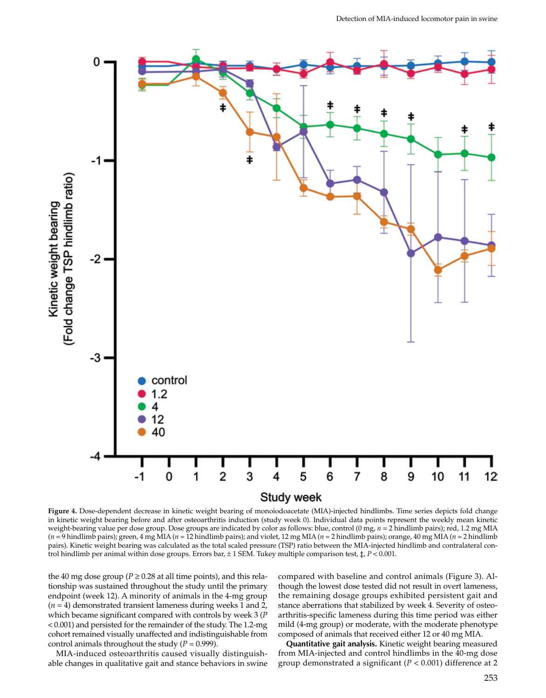

**Figure 4.** Dose-dependent decrease in kinetic weight bearing of monoiodoacetate (MIA)-injected hindlimbs. Time series depicts fold change in kinetic weight bearing before and after osteoarthritis induction (study week 0). Individual data points represent the weekly mean kinetic weight-bearing value per dose group. Dose groups are indicated by color as follows: blue, control (0 mg, *n* = 2 hindlimb pairs); red, 1.2 mg MIA (*n* = 9 hindlimb pairs); green, 4 mg MIA (*n* = 12 hindlimb pairs); and violet, 12 mg MIA (*n* = 2 hindlimb pairs); orange, 40 mg MIA (*n* = 2 hindlimb pairs). Kinetic weight bearing was calculated as the total scaled pressure (TSP) ratio between the MIA-injected hindlimb and contralateral control hindlimb per animal within dose groups. Errors bar, ± 1 SEM. Tukey multiple comparison test, ‡, *P* < 0.001.

the 40 mg dose group ( $P \ge 0.28$  at all time points), and this relationship was sustained throughout the study until the primary endpoint (week 12). A minority of animals in the 4-mg group (*n* = 4) demonstrated transient lameness during weeks 1 and 2, which became significant compared with controls by week 3 (*P* < 0.001) and persisted for the remainder of the study. The 1.2-mg cohort remained visually unaffected and indistinguishable from control animals throughout the study  $(P = 0.999)$ .

MIA-induced osteoarthritis caused visually distinguishable changes in qualitative gait and stance behaviors in swine compared with baseline and control animals (Figure 3). Although the lowest dose tested did not result in overt lameness, the remaining dosage groups exhibited persistent gait and stance aberrations that stabilized by week 4. Severity of osteoarthritis-specific lameness during this time period was either mild (4-mg group) or moderate, with the moderate phenotype composed of animals that received either 12 or 40 mg MIA.

**Quantitative gait analysis.** Kinetic weight bearing measured from MIA-injected and control hindlimbs in the 40-mg dose group demonstrated a significant (*P* < 0.001) difference at 2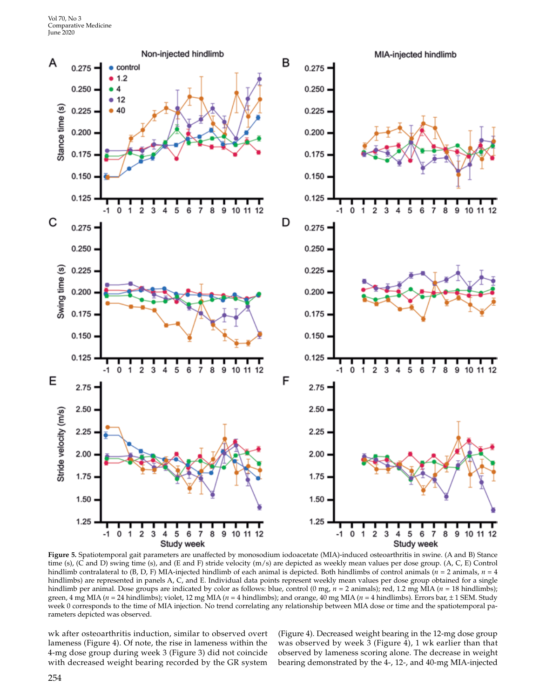

**Figure 5.** Spatiotemporal gait parameters are unaffected by monosodium iodoacetate (MIA)-induced osteoarthritis in swine. (A and B) Stance time (s), (C and D) swing time (s), and (E and F) stride velocity (m/s) are depicted as weekly mean values per dose group. (A, C, E) Control hindlimb contralateral to (B, D, F) MIA-injected hindlimb of each animal is depicted. Both hindlimbs of control animals (*n* = 2 animals, *n* = 4 hindlimbs) are represented in panels A, C, and E. Individual data points represent weekly mean values per dose group obtained for a single hindlimb per animal. Dose groups are indicated by color as follows: blue, control (0 mg,  $n = 2$  animals); red, 1.2 mg MIA ( $n = 18$  hindlimbs); green, 4 mg MIA (*n* = 24 hindlimbs); violet, 12 mg MIA (*n* = 4 hindlimbs); and orange, 40 mg MIA (*n* = 4 hindlimbs). Errors bar, ± 1 SEM. Study week 0 corresponds to the time of MIA injection. No trend correlating any relationship between MIA dose or time and the spatiotemporal parameters depicted was observed.

wk after osteoarthritis induction, similar to observed overt lameness (Figure 4). Of note, the rise in lameness within the 4-mg dose group during week 3 (Figure 3) did not coincide with decreased weight bearing recorded by the GR system (Figure 4). Decreased weight bearing in the 12-mg dose group was observed by week 3 (Figure 4), 1 wk earlier than that observed by lameness scoring alone. The decrease in weight bearing demonstrated by the 4-, 12-, and 40-mg MIA-injected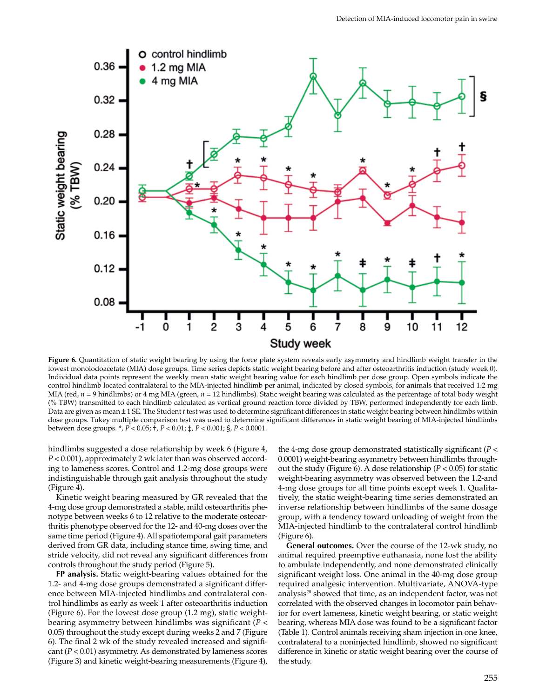

**Figure 6.** Quantitation of static weight bearing by using the force plate system reveals early asymmetry and hindlimb weight transfer in the lowest monoiodoacetate (MIA) dose groups. Time series depicts static weight bearing before and after osteoarthritis induction (study week 0). Individual data points represent the weekly mean static weight bearing value for each hindlimb per dose group. Open symbols indicate the control hindlimb located contralateral to the MIA-injected hindlimb per animal, indicated by closed symbols, for animals that received 1.2 mg MIA (red,  $n = 9$  hindlimbs) or 4 mg MIA (green,  $n = 12$  hindlimbs). Static weight bearing was calculated as the percentage of total body weight (% TBW) transmitted to each hindlimb calculated as vertical ground reaction force divided by TBW, performed independently for each limb. Data are given as mean ± 1 SE. The Student *t* test was used to determine significant differences in static weight bearing between hindlimbs within dose groups. Tukey multiple comparison test was used to determine significant differences in static weight bearing of MIA-injected hindlimbs between dose groups. \*, *P* < 0.05; †, *P* < 0.01; ‡, *P* < 0.001; §, *P* < 0.0001.

hindlimbs suggested a dose relationship by week 6 (Figure 4, *P* < 0.001), approximately 2 wk later than was observed according to lameness scores. Control and 1.2-mg dose groups were indistinguishable through gait analysis throughout the study (Figure 4).

Kinetic weight bearing measured by GR revealed that the 4-mg dose group demonstrated a stable, mild osteoarthritis phenotype between weeks 6 to 12 relative to the moderate osteoarthritis phenotype observed for the 12- and 40-mg doses over the same time period (Figure 4). All spatiotemporal gait parameters derived from GR data, including stance time, swing time, and stride velocity, did not reveal any significant differences from controls throughout the study period (Figure 5).

**FP analysis.** Static weight-bearing values obtained for the 1.2- and 4-mg dose groups demonstrated a significant difference between MIA-injected hindlimbs and contralateral control hindlimbs as early as week 1 after osteoarthritis induction (Figure 6). For the lowest dose group (1.2 mg), static weightbearing asymmetry between hindlimbs was significant (*P* < 0.05) throughout the study except during weeks 2 and 7 (Figure 6). The final 2 wk of the study revealed increased and significant  $(P < 0.01)$  asymmetry. As demonstrated by lameness scores (Figure 3) and kinetic weight-bearing measurements (Figure 4),

the 4-mg dose group demonstrated statistically significant (*P* < 0.0001) weight-bearing asymmetry between hindlimbs throughout the study (Figure 6). A dose relationship (*P* < 0.05) for static weight-bearing asymmetry was observed between the 1.2-and 4-mg dose groups for all time points except week 1. Qualitatively, the static weight-bearing time series demonstrated an inverse relationship between hindlimbs of the same dosage group, with a tendency toward unloading of weight from the MIA-injected hindlimb to the contralateral control hindlimb (Figure 6).

**General outcomes.** Over the course of the 12-wk study, no animal required preemptive euthanasia, none lost the ability to ambulate independently, and none demonstrated clinically significant weight loss. One animal in the 40-mg dose group required analgesic intervention. Multivariate, ANOVA-type analysis<sup>28</sup> showed that time, as an independent factor, was not correlated with the observed changes in locomotor pain behavior for overt lameness, kinetic weight bearing, or static weight bearing, whereas MIA dose was found to be a significant factor (Table 1). Control animals receiving sham injection in one knee, contralateral to a noninjected hindlimb, showed no significant difference in kinetic or static weight bearing over the course of the study.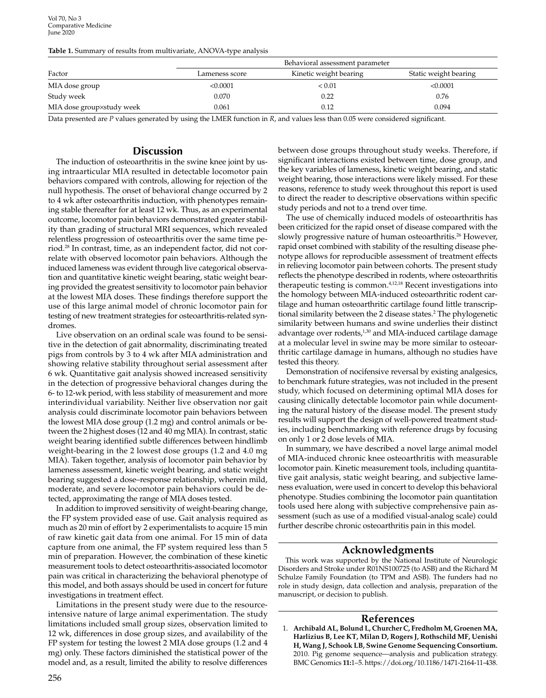Vol 70, No 3 Comparative Medicine June 2020

|  |  |  | Table 1. Summary of results from multivariate, ANOVA-type analysis |
|--|--|--|--------------------------------------------------------------------|
|--|--|--|--------------------------------------------------------------------|

| Factor                    | Behavioral assessment parameter |                        |                       |
|---------------------------|---------------------------------|------------------------|-----------------------|
|                           | Lameness score                  | Kinetic weight bearing | Static weight bearing |
| MIA dose group            | < 0.0001                        | ${}_{0.01}$            | < 0.0001              |
| Study week                | 0.070                           | 0.22                   | 0.76                  |
| MIA dose group×study week | 0.061                           | 0.12                   | 0.094                 |

Data presented are *P* values generated by using the LMER function in *R*, and values less than 0.05 were considered significant.

## **Discussion**

The induction of osteoarthritis in the swine knee joint by using intraarticular MIA resulted in detectable locomotor pain behaviors compared with controls, allowing for rejection of the null hypothesis. The onset of behavioral change occurred by 2 to 4 wk after osteoarthritis induction, with phenotypes remaining stable thereafter for at least 12 wk. Thus, as an experimental outcome, locomotor pain behaviors demonstrated greater stability than grading of structural MRI sequences, which revealed relentless progression of osteoarthritis over the same time period.28 In contrast, time, as an independent factor, did not correlate with observed locomotor pain behaviors. Although the induced lameness was evident through live categorical observation and quantitative kinetic weight bearing, static weight bearing provided the greatest sensitivity to locomotor pain behavior at the lowest MIA doses. These findings therefore support the use of this large animal model of chronic locomotor pain for testing of new treatment strategies for osteoarthritis-related syndromes.

Live observation on an ordinal scale was found to be sensitive in the detection of gait abnormality, discriminating treated pigs from controls by 3 to 4 wk after MIA administration and showing relative stability throughout serial assessment after 6 wk. Quantitative gait analysis showed increased sensitivity in the detection of progressive behavioral changes during the 6- to 12-wk period, with less stability of measurement and more interindividual variability. Neither live observation nor gait analysis could discriminate locomotor pain behaviors between the lowest MIA dose group (1.2 mg) and control animals or between the 2 highest doses (12 and 40 mg MIA). In contrast, static weight bearing identified subtle differences between hindlimb weight-bearing in the 2 lowest dose groups (1.2 and 4.0 mg MIA). Taken together, analysis of locomotor pain behavior by lameness assessment, kinetic weight bearing, and static weight bearing suggested a dose–response relationship, wherein mild, moderate, and severe locomotor pain behaviors could be detected, approximating the range of MIA doses tested.

In addition to improved sensitivity of weight-bearing change, the FP system provided ease of use. Gait analysis required as much as 20 min of effort by 2 experimentalists to acquire 15 min of raw kinetic gait data from one animal. For 15 min of data capture from one animal, the FP system required less than 5 min of preparation. However, the combination of these kinetic measurement tools to detect osteoarthritis-associated locomotor pain was critical in characterizing the behavioral phenotype of this model, and both assays should be used in concert for future investigations in treatment effect.

Limitations in the present study were due to the resourceintensive nature of large animal experimentation. The study limitations included small group sizes, observation limited to 12 wk, differences in dose group sizes, and availability of the FP system for testing the lowest 2 MIA dose groups (1.2 and 4 mg) only. These factors diminished the statistical power of the model and, as a result, limited the ability to resolve differences

between dose groups throughout study weeks. Therefore, if significant interactions existed between time, dose group, and the key variables of lameness, kinetic weight bearing, and static weight bearing, those interactions were likely missed. For these reasons, reference to study week throughout this report is used to direct the reader to descriptive observations within specific study periods and not to a trend over time.

The use of chemically induced models of osteoarthritis has been criticized for the rapid onset of disease compared with the slowly progressive nature of human osteoarthritis.<sup>26</sup> However, rapid onset combined with stability of the resulting disease phenotype allows for reproducible assessment of treatment effects in relieving locomotor pain between cohorts. The present study reflects the phenotype described in rodents, where osteoarthritis therapeutic testing is common.4,12,18 Recent investigations into the homology between MIA-induced osteoarthritic rodent cartilage and human osteoarthritic cartilage found little transcriptional similarity between the 2 disease states.2 The phylogenetic similarity between humans and swine underlies their distinct advantage over rodents,<sup>1,30</sup> and MIA-induced cartilage damage at a molecular level in swine may be more similar to osteoarthritic cartilage damage in humans, although no studies have tested this theory.

Demonstration of nocifensive reversal by existing analgesics, to benchmark future strategies, was not included in the present study, which focused on determining optimal MIA doses for causing clinically detectable locomotor pain while documenting the natural history of the disease model. The present study results will support the design of well-powered treatment studies, including benchmarking with reference drugs by focusing on only 1 or 2 dose levels of MIA.

In summary, we have described a novel large animal model of MIA-induced chronic knee osteoarthritis with measurable locomotor pain. Kinetic measurement tools, including quantitative gait analysis, static weight bearing, and subjective lameness evaluation, were used in concert to develop this behavioral phenotype. Studies combining the locomotor pain quantitation tools used here along with subjective comprehensive pain assessment (such as use of a modified visual-analog scale) could further describe chronic osteoarthritis pain in this model.

# **Acknowledgments**

This work was supported by the National Institute of Neurologic Disorders and Stroke under R01NS100725 (to ASB) and the Richard M Schulze Family Foundation (to TPM and ASB). The funders had no role in study design, data collection and analysis, preparation of the manuscript, or decision to publish.

### **References**

1. **Archibald AL, Bolund L, Churcher C, Fredholm M, Groenen MA, Harlizius B, Lee KT, Milan D, Rogers J, Rothschild MF, Uenishi H, Wang J, Schook LB, Swine Genome Sequencing Consortium.** 2010. Pig genome sequence—analysis and publication strategy. BMC Genomics **11:**1–5. https://doi.org/10.1186/1471-2164-11-438.